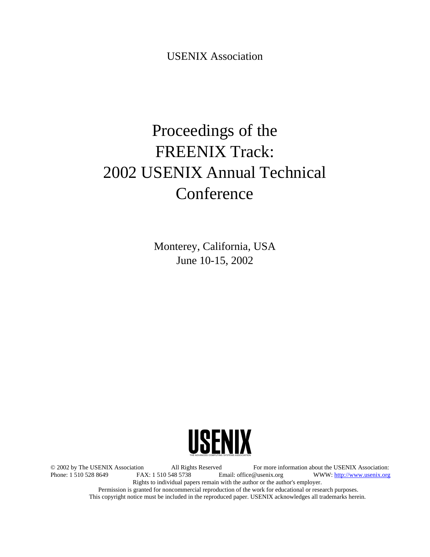USENIX Association

# Proceedings of the FREENIX Track: 2002 USENIX Annual Technical Conference

Monterey, California, USA June 10-15, 2002



© 2002 by The USENIX Association All Rights Reserved For more information about the USENIX Association:<br>Phone: 1 510 528 8649 FAX: 1 510 548 5738 Email: office@usenix.org WWW: http://www.usenix.org WWW: http://www.usenix.org Rights to individual papers remain with the author or the author's employer. Permission is granted for noncommercial reproduction of the work for educational or research purposes. This copyright notice must be included in the reproduced paper. USENIX acknowledges all trademarks herein.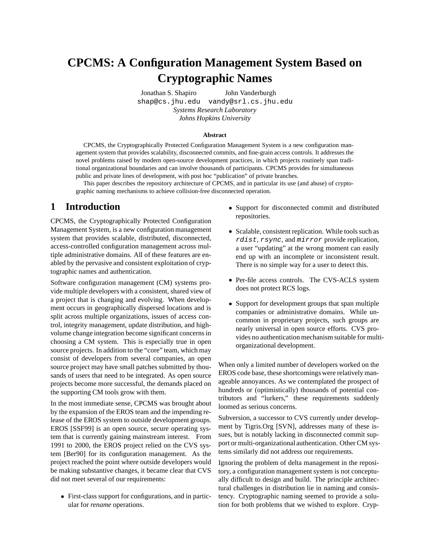## **CPCMS: A Configuration Management System Based on Cryptographic Names**

Jonathan S. Shapiro John Vanderburgh shap@cs.jhu.edu vandy@srl.cs.jhu.edu *Systems Research Laboratory Johns Hopkins University*

#### **Abstract**

CPCMS, the Cryptographically Protected Configuration Management System is a new configuration management system that provides scalability, disconnected commits, and fine-grain access controls. It addresses the novel problems raised by modern open-source development practices, in which projects routinely span traditional organizational boundaries and can involve thousands of participants. CPCMS provides for simultaneous public and private lines of development, with post hoc "publication" of private branches.

This paper describes the repository architecture of CPCMS, and in particular its use (and abuse) of cryptographic naming mechanisms to achieve collision-free disconnected operation.

#### **1 Introduction**

CPCMS, the Cryptographically Protected Configuration Management System, is a new configuration management system that provides scalable, distributed, disconnected, access-controlled configuration management across multiple administrative domains. All of these features are enabled by the pervasive and consistent exploitation of cryptographic names and authentication.

Software configuration management (CM) systems provide multiple developers with a consistent, shared view of a project that is changing and evolving. When development occurs in geographically dispersed locations and is split across multiple organizations, issues of access control, integrity management, update distribution, and highvolume change integration become significant concernsin choosing a CM system. This is especially true in open source projects. In addition to the "core" team, which may consist of developers from several companies, an open source project may have small patches submitted by thousands of users that need to be integrated. As open source projects become more successful, the demands placed on the supporting CM tools grow with them.

In the most immediate sense, CPCMS was brought about by the expansion of the EROS team and the impending release of the EROS system to outside development groups. EROS [SSF99] is an open source, secure operating system that is currently gaining mainstream interest. From 1991 to 2000, the EROS project relied on the CVS system [Ber90] for its configuration management. As the project reached the point where outside developers would be making substantive changes, it became clear that CVS did not meet several of our requirements:

 First-class support for configurations, and in particular for *rename* operations.

- Support for disconnected commit and distributed repositories.
- Scalable, consistent replication. While tools such as rdist, rsync, and mirror provide replication, a user "updating" at the wrong moment can easily end up with an incomplete or inconsistent result. There is no simple way for a user to detect this.
- Per-file access controls. The CVS-ACLS system does not protect RCS logs.
- Support for development groups that span multiple companies or administrative domains. While uncommon in proprietary projects, such groups are nearly universal in open source efforts. CVS provides no authentication mechanism suitable for multiorganizational development.

When only a limited number of developers worked on the EROS code base, these shortcomings were relatively manageable annoyances. As we contemplated the prospect of hundreds or (optimistically) thousands of potential contributors and "lurkers," these requirements suddenly loomed as serious concerns.

Subversion, a successor to CVS currently under development by Tigris.Org [SVN], addresses many of these issues, but is notably lacking in disconnected commit support or multi-organizational authentication. Other CM systems similarly did not address our requirements.

Ignoring the problem of delta management in the repository, a configuration management system is not conceptually difficult to design and build. The principle architectural challenges in distribution lie in naming and consistency. Cryptographic naming seemed to provide a solution for both problems that we wished to explore. Cryp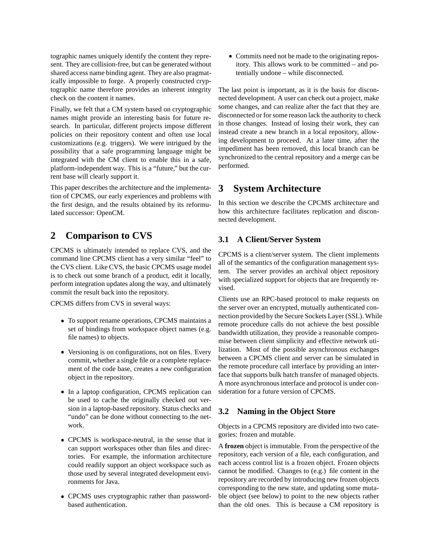tographic names uniquely identify the content they represent. They are collision-free, but can be generated without shared access name binding agent. They are also pragmatically impossible to forge. A properly constructed cryptographic name therefore provides an inherent integrity check on the content it names.

Finally, we felt that a CM system based on cryptographic names might provide an interesting basis for future research. In particular, different projects impose different policies on their repository content and often use local customizations (e.g. triggers). We were intrigued by the possibility that a safe programming language might be integrated with the CM client to enable this in a safe, platform-independent way. This is a "future," but the current base will clearly support it.

This paper describes the architecture and the implementation of CPCMS, our early experiences and problems with the first design, and the results obtained by its reformulated successor: OpenCM.

## **2 Comparison to CVS**

CPCMS is ultimately intended to replace CVS, and the command line CPCMS client has a very similar "feel" to the CVS client. Like CVS, the basic CPCMS usage model is to check out some branch of a product, edit it locally, perform integration updates along the way, and ultimately commit the result back into the repository.

CPCMS differs from CVS in several ways:

- To support rename operations, CPCMS maintains a set of bindings from workspace object names (e.g. file names) to objects.
- Versioning is on configurations, not on files. Every commit, whether a single file or a complete replacement of the code base, creates a new configuration object in the repository.
- In a laptop configuration, CPCMS replication can be used to cache the originally checked out version in a laptop-based repository. Status checks and "undo" can be done without connecting to the network.
- CPCMS is workspace-neutral, in the sense that it can support workspaces other than files and directories. For example, the information architecture could readily support an object workspace such as those used by several integrated development environments for Java.
- CPCMS uses cryptographic rather than passwordbased authentication.

 Commits need not be made to the originating repository. This allows work to be committed – and potentially undone – while disconnected.

The last point is important, as it is the basis for disconnected development. A user can check out a project, make some changes, and can realize after the fact that they are disconnected or for some reason lack the authority to check in those changes. Instead of losing their work, they can instead create a new branch in a local repository, allowing development to proceed. At a later time, after the impediment has been removed, this local branch can be synchronized to the central repository and a merge can be performed.

## **3 System Architecture**

In this section we describe the CPCMS architecture and how this architecture facilitates replication and disconnected development.

### **3.1 A Client/Server System**

CPCMS is a client/server system. The client implements all of the semantics of the configuration management system. The server provides an archival object repository with specialized support for objects that are frequently revised.

Clients use an RPC-based protocol to make requests on the server over an encrypted, mutually authenticated connection provided by the Secure Sockets Layer (SSL). While remote procedure calls do not achieve the best possible bandwidth utilization, they provide a reasonable compromise between client simplicity and effective network utilization. Most of the possible asynchronous exchanges between a CPCMS client and server can be simulated in the remote procedure call interface by providing an interface that supports bulk batch transfer of managed objects. A more asynchronousinterface and protocol is under consideration for a future version of CPCMS.

#### **3.2 Naming in the Object Store**

Objects in a CPCMS repository are divided into two categories: frozen and mutable.

A **frozen** object is immutable. From the perspective of the repository, each version of a file, each configuration, and each access control list is a frozen object. Frozen objects cannot be modified. Changes to (e.g.) file content in the repository are recorded by introducing new frozen objects corresponding to the new state, and updating some mutable object (see below) to point to the new objects rather than the old ones. This is because a CM repository is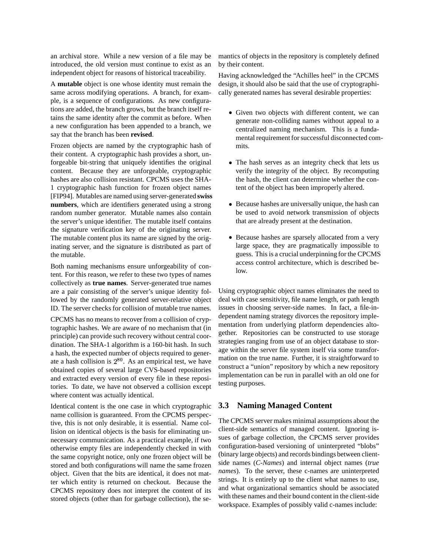an archival store. While a new version of a file may be introduced, the old version must continue to exist as an independent object for reasons of historical traceability.

A **mutable** object is one whose identity must remain the same across modifying operations. A branch, for example, is a sequence of configurations. As new configurations are added, the branch grows, but the branch itself retains the same identity after the commit as before. When a new configuration has been appended to a branch, we say that the branch has been **revised**.

Frozen objects are named by the cryptographic hash of their content. A cryptographic hash provides a short, unforgeable bit-string that uniquely identifies the original content. Because they are unforgeable, cryptographic hashes are also collision resistant. CPCMS uses the SHA-1 cryptographic hash function for frozen object names [FIP94]. Mutables are named using server-generated **swiss numbers**, which are identifiers generated using a strong random number generator. Mutable names also contain the server's unique identifier. The mutable itself contains the signature verification key of the originating server. The mutable content plus its name are signed by the originating server, and the signature is distributed as part of the mutable.

Both naming mechanisms ensure unforgeability of content. For this reason, we refer to these two types of names collectively as **true names**. Server-generated true names are a pair consisting of the server's unique identity followed by the randomly generated server-relative object ID. The server checks for collision of mutable true names.

CPCMS has no means to recover from a collision of cryptographic hashes. We are aware of no mechanism that (in principle) can provide such recovery without central coordination. The SHA-1 algorithm is a 160-bit hash. In such a hash, the expected number of objects required to generate a hash collision is  $2^{80}$ . As an empirical test, we have obtained copies of several large CVS-based repositories and extracted every version of every file in these repositories. To date, we have not observed a collision except where content was actually identical.

Identical content is the one case in which cryptographic name collision is guaranteed. From the CPCMS perspective, this is not only desirable, it is essential. Name collision on identical objects is the basis for eliminating unnecessary communication. As a practical example, if two otherwise empty files are independently checked in with the same copyright notice, only one frozen object will be stored and both configurations will name the same frozen object. Given that the bits are identical, it does not matter which entity is returned on checkout. Because the CPCMS repository does not interpret the content of its stored objects (other than for garbage collection), the semantics of objects in the repository is completely defined by their content.

Having acknowledged the "Achilles heel" in the CPCMS design, it should also be said that the use of cryptographically generated names has several desirable properties:

- Given two objects with different content, we can generate non-colliding names without appeal to a centralized naming mechanism. This is a fundamental requirement for successful disconnected commits.
- The hash serves as an integrity check that lets us verify the integrity of the object. By recomputing the hash, the client can determine whether the content of the object has been improperly altered.
- Because hashes are universally unique, the hash can be used to avoid network transmission of objects that are already present at the destination.
- Because hashes are sparsely allocated from a very large space, they are pragmatically impossible to guess. This is a crucial underpinning for the CPCMS access control architecture, which is described below.

Using cryptographic object names eliminates the need to deal with case sensitivity, file name length, or path length issues in choosing server-side names. In fact, a file-independent naming strategy divorces the repository implementation from underlying platform dependencies altogether. Repositories can be constructed to use storage strategies ranging from use of an object database to storage within the server file system itself via some transformation on the true name. Further, it is straightforward to construct a "union" repository by which a new repository implementation can be run in parallel with an old one for testing purposes.

#### **3.3 Naming Managed Content**

The CPCMS server makes minimal assumptions about the client-side semantics of managed content. Ignoring issues of garbage collection, the CPCMS server provides configuration-based versioning of uninterpreted "blobs" (binary large objects) and records bindings between clientside names (*C-Names*) and internal object names (*true names*). To the server, these c-names are uninterpreted strings. It is entirely up to the client what names to use, and what organizational semantics should be associated with these names and their bound content in the client-side workspace. Examples of possibly valid c-names include: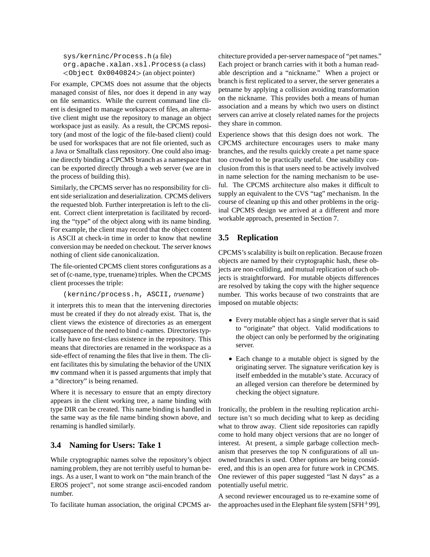sys/kerninc/Process.h (a file) org.apache.xalan.xsl.Process (a class) Object 0x0040824 (an object pointer)

For example, CPCMS does not assume that the objects managed consist of files, nor does it depend in any way on file semantics. While the current command line client is designed to manage workspaces of files, an alternative client might use the repository to manage an object workspace just as easily. As a result, the CPCMS repository (and most of the logic of the file-based client) could be used for workspaces that are not file oriented, such as a Java or Smalltalk class repository. One could also imagine directly binding a CPCMS branch as a namespace that can be exported directly through a web server (we are in the process of building this).

Similarly, the CPCMS server has no responsibility for client side serialization and deserialization. CPCMS delivers the requested blob. Further interpretation is left to the client. Correct client interpretation is facilitated by recording the "type" of the object along with its name binding. For example, the client may record that the object content is ASCII at check-in time in order to know that newline conversion may be needed on checkout. The server knows nothing of client side canonicalization.

The file-oriented CPCMS client stores configurations as a set of (c-name, type, truename) triples. When the CPCMS client processes the triple:

(kerninc/process.h, ASCII, *truename*)

it interprets this to mean that the intervening directories must be created if they do not already exist. That is, the client views the existence of directories as an emergent consequence of the need to bind c-names. Directories typically have no first-class existence in the repository. This means that directories are renamed in the workspace as a side-effect of renaming the files that live in them. The client facilitates this by simulating the behavior of the UNIX mv command when it is passed arguments that imply that a "directory" is being renamed.

Where it is necessary to ensure that an empty directory appears in the client working tree, a name binding with type DIR can be created. This name binding is handled in the same way as the file name binding shown above, and renaming is handled similarly.

#### **3.4 Naming for Users: Take 1**

While cryptographic names solve the repository's object naming problem, they are not terribly useful to human beings. As a user, I want to work on "the main branch of the EROS project", not some strange ascii-encoded random number.

To facilitate human association, the original CPCMS ar-

chitecture provided a per-server namespace of "pet names." Each project or branch carries with it both a human readable description and a "nickname." When a project or branch is first replicated to a server, the server generates a petname by applying a collision avoiding transformation on the nickname. This provides both a means of human association and a means by which two users on distinct servers can arrive at closely related names for the projects they share in common.

Experience shows that this design does not work. The CPCMS architecture encourages users to make many branches, and the results quickly create a pet name space too crowded to be practically useful. One usability conclusion from this is that users need to be actively involved in name selection for the naming mechanism to be useful. The CPCMS architecture also makes it difficult to supply an equivalent to the CVS "tag" mechanism. In the course of cleaning up this and other problems in the original CPCMS design we arrived at a different and more workable approach, presented in Section 7.

### **3.5 Replication**

CPCMS's scalability is built on replication. Because frozen objects are named by their cryptographic hash, these objects are non-colliding, and mutual replication of such objects is straightforward. For mutable objects differences are resolved by taking the copy with the higher sequence number. This works because of two constraints that are imposed on mutable objects:

- Every mutable object has a single server that is said to "originate" that object. Valid modifications to the object can only be performed by the originating server.
- Each change to a mutable object is signed by the originating server. The signature verification key is itself embedded in the mutable's state. Accuracy of an alleged version can therefore be determined by checking the object signature.

Ironically, the problem in the resulting replication architecture isn't so much deciding what to keep as deciding what to throw away. Client side repositories can rapidly come to hold many object versions that are no longer of interest. At present, a simple garbage collection mechanism that preserves the top N configurations of all unowned branches is used. Other options are being considered, and this is an open area for future work in CPCMS. One reviewer of this paper suggested "last N days" as a potentially useful metric.

A second reviewer encouraged us to re-examine some of the approaches used in the Elephant file system [SFH-99],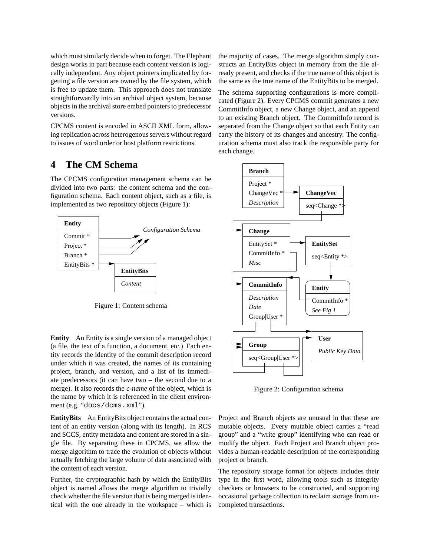which must similarly decide when to forget. The Elephant design works in part because each content version is logically independent. Any object pointers implicated by forgetting a file version are owned by the file system, which is free to update them. This approach does not translate straightforwardly into an archival object system, because objects in the archival store embed pointers to predecessor versions.

CPCMS content is encoded in ASCII XML form, allowing replication across heterogenous servers without regard to issues of word order or host platform restrictions.

#### **4 The CM Schema**

The CPCMS configuration management schema can be divided into two parts: the content schema and the configuration schema. Each content object, such as a file, is implemented as two repository objects (Figure 1):



Figure 1: Content schema

**Entity** An Entity is a single version of a managed object (a file, the text of a function, a document, etc.) Each entity records the identity of the commit description record under which it was created, the names of its containing project, branch, and version, and a list of its immediate predecessors (it can have two – the second due to a merge). It also records the *c-name* of the object, which is the name by which it is referenced in the client environment (e.g. "docs/dcms.xml").

**EntityBits** An EntityBits object contains the actual content of an entity version (along with its length). In RCS and SCCS, entity metadata and content are stored in a single file. By separating these in CPCMS, we allow the merge algorithm to trace the evolution of objects without actually fetching the large volume of data associated with the content of each version.

Further, the cryptographic hash by which the EntityBits object is named allows the merge algorithm to trivially check whether the file version that is being merged is identical with the one already in the workspace – which is

the majority of cases. The merge algorithm simply constructs an EntityBits object in memory from the file already present, and checks if the true name of this object is the same as the true name of the EntityBits to be merged.

The schema supporting configurations is more complicated (Figure 2). Every CPCMS commit generates a new CommitInfo object, a new Change object, and an append to an existing Branch object. The CommitInfo record is separated from the Change object so that each Entity can carry the history of its changes and ancestry. The configuration schema must also track the responsible party for each change.



Figure 2: Configuration schema

Project and Branch objects are unusual in that these are mutable objects. Every mutable object carries a "read group" and a "write group" identifying who can read or modify the object. Each Project and Branch object provides a human-readable description of the corresponding project or branch.

The repository storage format for objects includes their type in the first word, allowing tools such as integrity checkers or browsers to be constructed, and supporting occasional garbage collection to reclaim storage from uncompleted transactions.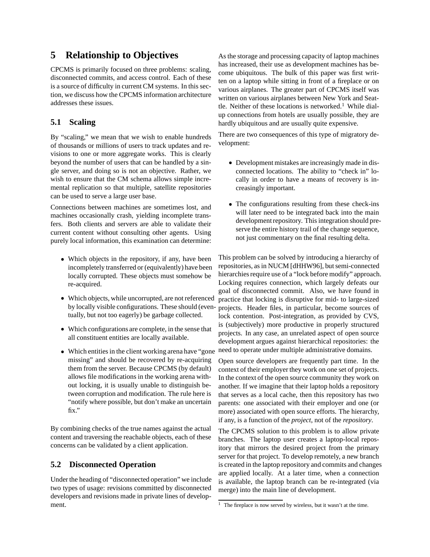## **5 Relationship to Objectives**

CPCMS is primarily focused on three problems: scaling, disconnected commits, and access control. Each of these is a source of difficulty in current CM systems. In this section, we discuss how the CPCMS information architecture addresses these issues.

### **5.1 Scaling**

By "scaling," we mean that we wish to enable hundreds of thousands or millions of users to track updates and revisions to one or more aggregate works. This is clearly beyond the number of users that can be handled by a single server, and doing so is not an objective. Rather, we wish to ensure that the CM schema allows simple incremental replication so that multiple, satellite repositories can be used to serve a large user base.

Connections between machines are sometimes lost, and machines occasionally crash, yielding incomplete transfers. Both clients and servers are able to validate their current content without consulting other agents. Using purely local information, this examination can determine:

- Which objects in the repository, if any, have been incompletely transferred or (equivalently) have been locally corrupted. These objects must somehow be re-acquired.
- Which objects, while uncorrupted, are not referenced tually, but not too eagerly) be garbage collected.
- Which configurations are complete, in the sense that all constituent entities are locally available.
- Which entities in the client working arena have "gone missing" and should be recovered by re-acquiring them from the server. Because CPCMS (by default) allows file modifications in the working arena without locking, it is usually unable to distinguish between corruption and modification. The rule here is "notify where possible, but don't make an uncertain fix."

By combining checks of the true names against the actual content and traversing the reachable objects, each of these concerns can be validated by a client application.

#### **5.2 Disconnected Operation**

Under the heading of "disconnected operation" we include two types of usage: revisions committed by disconnected developers and revisions made in private lines of development.

As the storage and processing capacity of laptop machines has increased, their use as development machines has become ubiquitous. The bulk of this paper was first written on a laptop while sitting in front of a fireplace or on various airplanes. The greater part of CPCMS itself was written on various airplanes between New York and Seattle. Neither of these locations is networked.<sup>1</sup> While dialup connections from hotels are usually possible, they are hardly ubiquitous and are usually quite expensive.

There are two consequences of this type of migratory development:

- Development mistakes are increasingly made in disconnected locations. The ability to "check in" locally in order to have a means of recovery is increasingly important.
- The configurations resulting from these check-ins will later need to be integrated back into the main development repository. This integration should preserve the entire history trail of the change sequence, not just commentary on the final resulting delta.

by locally visible configurations. These should (even-projects. Header files, in particular, become sources of This problem can be solved by introducing a hierarchy of repositories, as in NUCM [dHHW96], but semi-connected hierarchies require use of a "lock before modify" approach. Locking requires connection, which largely defeats our goal of disconnected commit. Also, we have found in practice that locking is disruptive for mid- to large-sized lock contention. Post-integration, as provided by CVS, is (subjectively) more productive in properly structured projects. In any case, an unrelated aspect of open source development argues against hierarchical repositories: the need to operate under multiple administrative domains.

> Open source developers are frequently part time. In the context of their employer they work on one set of projects. In the context of the open source community they work on another. If we imagine that their laptop holds a repository that serves as a local cache, then this repository has two parents: one associated with their employer and one (or more) associated with open source efforts. The hierarchy, if any, is a function of the *project*, not of the *repository*.

> The CPCMS solution to this problem is to allow private branches. The laptop user creates a laptop-local repository that mirrors the desired project from the primary server for that project. To develop remotely, a new branch is created in the laptop repository and commits and changes are applied locally. At a later time, when a connection is available, the laptop branch can be re-integrated (via merge) into the main line of development.

<sup>&</sup>lt;sup>1</sup> The fireplace is now served by wireless, but it wasn't at the time.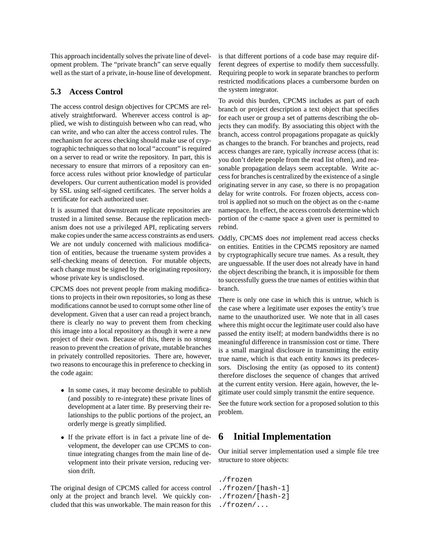This approach incidentally solves the private line of development problem. The "private branch" can serve equally well as the start of a private, in-house line of development.

#### **5.3 Access Control**

The access control design objectives for CPCMS are relatively straightforward. Wherever access control is applied, we wish to distinguish between who can read, who can write, and who can alter the access control rules. The mechanism for access checking should make use of cryptographic techniques so that no local "account" is required on a server to read or write the repository. In part, this is necessary to ensure that mirrors of a repository can enforce access rules without prior knowledge of particular developers. Our current authentication model is provided by SSL using self-signed certificates. The server holds a certificate for each authorized user.

It is assumed that downstream replicate repositories are trusted in a limited sense. Because the replication mechanism does not use a privileged API, replicating servers make copies under the same access constraints as end users. We are not unduly concerned with malicious modification of entities, because the truename system provides a self-checking means of detection. For mutable objects, each change must be signed by the originating repository, whose private key is undisclosed.

CPCMS does not prevent people from making modifications to projects in their own repositories, so long as these modifications cannot be used to corrupt some other line of development. Given that a user can read a project branch, there is clearly no way to prevent them from checking this image into a local repository as though it were a new project of their own. Because of this, there is no strong reason to prevent the creation of private, mutable branches in privately controlled repositories. There are, however, two reasons to encourage this in preference to checking in the code again:

- In some cases, it may become desirable to publish (and possibly to re-integrate) these private lines of development at a later time. By preserving their relationships to the public portions of the project, an orderly merge is greatly simplified.
- If the private effort is in fact a private line of development, the developer can use CPCMS to continue integrating changes from the main line of development into their private version, reducing version drift.

The original design of CPCMS called for access control only at the project and branch level. We quickly concluded that this was unworkable. The main reason for this is that different portions of a code base may require different degrees of expertise to modify them successfully. Requiring people to work in separate branches to perform restricted modifications places a cumbersome burden on the system integrator.

To avoid this burden, CPCMS includes as part of each branch or project description a text object that specifies for each user or group a set of patterns describing the objects they can modify. By associating this object with the branch, access control propagations propagate as quickly as changes to the branch. For branches and projects, read access changes are rare, typically *increase* access (that is: you don't delete people from the read list often), and reasonable propagation delays seem acceptable. Write access for branchesis centralized by the existence of a single originating server in any case, so there is no propagation delay for write controls. For frozen objects, access control is applied not so much on the object as on the c-name namespace. In effect, the access controls determine which portion of the c-name space a given user is permitted to rebind.

Oddly, CPCMS does *not* implement read access checks on entities. Entities in the CPCMS repository are named by cryptographically secure true names. As a result, they are unguessable. If the user does not already have in hand the object describing the branch, it is impossible for them to successfully guess the true names of entities within that branch.

There is only one case in which this is untrue, which is the case where a legitimate user exposes the entity's true name to the unauthorized user. We note that in all cases where this might occur the legitimate user could also have passed the entity itself; at modern bandwidths there is no meaningful difference in transmission cost or time. There is a small marginal disclosure in transmitting the entity true name, which is that each entity knows its predecessors. Disclosing the entity (as opposed to its content) therefore discloses the sequence of changes that arrived at the current entity version. Here again, however, the legitimate user could simply transmit the entire sequence.

See the future work section for a proposed solution to this problem.

## **6 Initial Implementation**

Our initial server implementation used a simple file tree structure to store objects:

- ./frozen ./frozen/[hash-1] ./frozen/[hash-2]
- ./frozen/...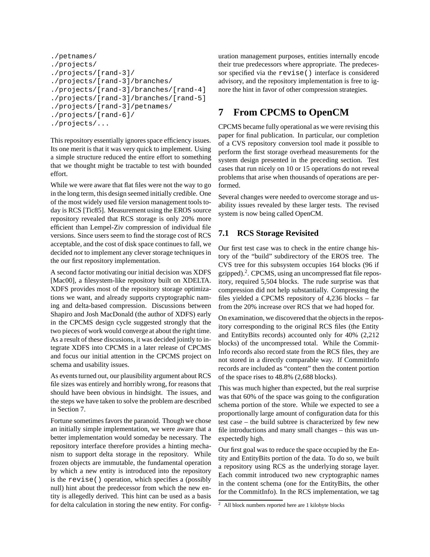```
./petnames/
./projects/
./projects/[rand-3]/
./projects/[rand-3]/branches/
./projects/[rand-3]/branches/[rand-4]
./projects/[rand-3]/branches/[rand-5]
./projects/[rand-3]/petnames/
./projects/[rand-6]/
./projects/...
```
This repository essentially ignores space efficiency issues. Its one merit is that it was very quick to implement. Using a simple structure reduced the entire effort to something that we thought might be tractable to test with bounded effort.

While we were aware that flat files were not the way to go in the long term, this design seemed initially credible. One of the most widely used file version management tools today is RCS [Tic85]. Measurement using the EROS source repository revealed that RCS storage is only 20% more efficient than Lempel-Ziv compression of individual file versions. Since users seem to find the storage cost of RCS acceptable, and the cost of disk space continues to fall, we decided *not* to implement any clever storage techniques in the our first repository implementation.

A second factor motivating our initial decision was XDFS [Mac00], a filesystem-like repository built on XDELTA. XDFS provides most of the repository storage optimizations we want, and already supports cryptographic naming and delta-based compression. Discussions between Shapiro and Josh MacDonald (the author of XDFS) early in the CPCMS design cycle suggested strongly that the two pieces of work would converge at about the right time. As a result of these discusions, it was decided jointly to integrate XDFS into CPCMS in a later release of CPCMS and focus our initial attention in the CPCMS project on schema and usability issues.

As events turned out, our plausibility argument about RCS file sizes was entirely and horribly wrong, for reasons that should have been obvious in hindsight. The issues, and the steps we have taken to solve the problem are described in Section 7.

Fortune sometimes favors the paranoid. Though we chose an initially simple implementation, we were aware that a better implementation would someday be necessary. The repository interface therefore provides a hinting mechanism to support delta storage in the repository. While frozen objects are immutable, the fundamental operation by which a new entity is introduced into the repository is the revise() operation, which specifies a (possibly null) hint about the predecessor from which the new entity is allegedly derived. This hint can be used as a basis for delta calculation in storing the new entity. For configuration management purposes, entities internally encode their true predecessors where appropriate. The predecessor specified via the revise() interface is considered advisory, and the repository implementation is free to ignore the hint in favor of other compression strategies.

## **7 From CPCMS to OpenCM**

CPCMS became fully operational as we were revising this paper for final publication. In particular, our completion of a CVS repository conversion tool made it possible to perform the first storage overhead measurements for the system design presented in the preceding section. Test cases that run nicely on 10 or 15 operations do not reveal problems that arise when thousands of operations are performed.

Several changes were needed to overcome storage and usability issues revealed by these larger tests. The revised system is now being called OpenCM.

#### **7.1 RCS Storage Revisited**

Our first test case was to check in the entire change history of the "build" subdirectory of the EROS tree. The CVS tree for this subsystem occupies 164 blocks (96 if gzipped).<sup>2</sup>. CPCMS, using an uncompressed flat file repository, required 5,504 blocks. The rude surprise was that compression did not help substantially. Compressing the files yielded a CPCMS repository of 4,236 blocks – far from the 20% increase over RCS that we had hoped for.

On examination, we discovered that the objects in the repository corresponding to the original RCS files (the Entity and EntityBits records) accounted only for 40% (2,212 blocks) of the uncompressed total. While the Commit-Info records also record state from the RCS files, they are not stored in a directly comparable way. If CommitInfo records are included as "content" then the content portion of the space rises to 48.8% (2,688 blocks).

This was much higher than expected, but the real surprise was that 60% of the space was going to the configuration schema portion of the store. While we expected to see a proportionally large amount of configuration data for this test case – the build subtree is characterized by few new file introductions and many small changes – this was unexpectedly high.

Our first goal was to reduce the space occupied by the Entity and EntityBits portion of the data. To do so, we built a repository using RCS as the underlying storage layer. Each commit introduced two new cryptographic names in the content schema (one for the EntityBits, the other for the CommitInfo). In the RCS implementation, we tag

<sup>2</sup> All block numbers reported here are 1 kilobyte blocks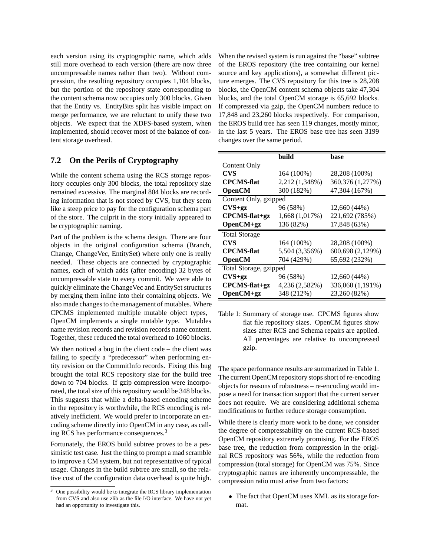each version using its cryptographic name, which adds still more overhead to each version (there are now three uncompressable names rather than two). Without compression, the resulting repository occupies 1,104 blocks, but the portion of the repository state corresponding to the content schema now occupies only 300 blocks. Given that the Entity vs. EntityBits split has visible impact on merge performance, we are reluctant to unify these two objects. We expect that the XDFS-based system, when implemented, should recover most of the balance of content storage overhead.

#### **7.2 On the Perils of Cryptography**

While the content schema using the RCS storage repository occupies only 300 blocks, the total repository size remained excessive. The marginal 804 blocks are recording information that is not stored by CVS, but they seem like a steep price to pay for the configuration schema part of the store. The culprit in the story initially appeared to be cryptographic naming.

Part of the problem is the schema design. There are four objects in the original configuration schema (Branch, Change, ChangeVec, EntitySet) where only one is really needed. These objects are connected by cryptographic names, each of which adds (after encoding) 32 bytes of uncompressable state to every commit. We were able to quickly eliminate the ChangeVec and EntitySet structures by merging them inline into their containing objects. We also made changes to the management of mutables. Where CPCMS implemented multiple mutable object types,

OpenCM implements a single mutable type. Mutables name revision records and revision records name content. Together, these reduced the total overhead to 1060 blocks.

We then noticed a bug in the client code – the client was failing to specify a "predecessor" when performing entity revision on the CommitInfo records. Fixing this bug brought the total RCS repository size for the build tree down to 704 blocks. If gzip compression were incorporated, the total size of this repository would be 348 blocks. This suggests that while a delta-based encoding scheme in the repository is worthwhile, the RCS encoding is relatively inefficient. We would prefer to incorporate an encoding scheme directly into OpenCM in any case, as calling RCS has performance consequences.<sup>3</sup>

Fortunately, the EROS build subtree proves to be a pessimistic test case. Just the thing to prompt a mad scramble to improve a CM system, but not representative of typical usage. Changes in the build subtree are small, so the relative cost of the configuration data overhead is quite high.

When the revised system is run against the "base" subtree of the EROS repository (the tree containing our kernel source and key applications), a somewhat different picture emerges. The CVS repository for this tree is 28,208 blocks, the OpenCM content schema objects take 47,304 blocks, and the total OpenCM storage is 65,692 blocks. If compressed via gzip, the OpenCM numbers reduce to 17,848 and 23,260 blocks respectively. For comparison, the EROS build tree has seen 119 changes, mostly minor, in the last 5 years. The EROS base tree has seen 3199 changes over the same period.

|                        | build          | base             |
|------------------------|----------------|------------------|
| Content Only           |                |                  |
| CVS                    | 164 (100%)     | 28,208 (100%)    |
| <b>CPCMS-flat</b>      | 2,212 (1,348%) | 360,376 (1,277%) |
| <b>OpenCM</b>          | 300 (182%)     | 47,304 (167%)    |
| Content Only, gzipped  |                |                  |
| $CVS+gz$               | 96 (58%)       | 12,660 (44%)     |
| $CPCMS$ -flat+gz       | 1,668(1,017%)  | 221,692 (785%)   |
| $OpenCM+gz$            | 136 (82%)      | 17,848 (63%)     |
| <b>Total Storage</b>   |                |                  |
| CVS                    | 164 (100%)     | 28,208 (100%)    |
| <b>CPCMS-flat</b>      | 5,504 (3,356%) | 600,698 (2,129%) |
| <b>OpenCM</b>          | 704 (429%)     | 65,692 (232%)    |
| Total Storage, gzipped |                |                  |
| $CVS+gz$               | 96 (58%)       | 12,660 (44%)     |
| CPCMS-flat+gz          | 4,236 (2,582%) | 336,060 (1,191%) |
| OpenCM+gz              | 348 (212%)     | 23,260 (82%)     |

Table 1: Summary of storage use. CPCMS figures show flat file repository sizes. OpenCM figures show sizes after RCS and Schema repairs are applied. All percentages are relative to uncompressed gzip.

The space performance results are summarized in Table 1. The current OpenCM repository stops short of re-encoding objects for reasons of robustness – re-encoding would impose a need for transaction support that the current server does not require. We are considering additional schema modifications to further reduce storage consumption.

While there is clearly more work to be done, we consider the degree of compressability on the current RCS-based OpenCM repository extremely promising. For the EROS base tree, the reduction from compression in the original RCS repository was 56%, while the reduction from compression (total storage) for OpenCM was 75%. Since cryptographic names are inherently uncompressable, the compression ratio must arise from two factors:

 The fact that OpenCM uses XML as its storage format.

 $\overline{3}$  One possibility would be to integrate the RCS library implementation from CVS and also use zlib as the file I/O interface. We have not yet had an opportunity to investigate this.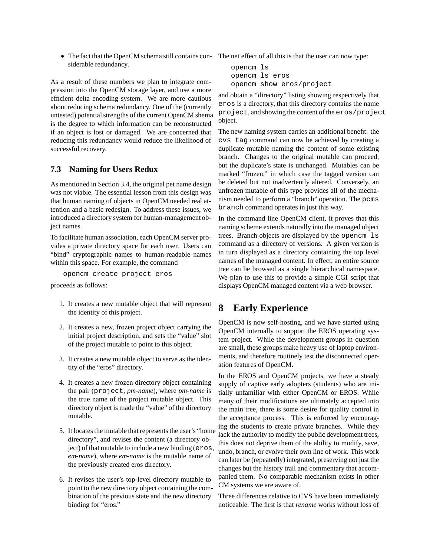The fact that the OpenCM schema still contains con-The net effect of all this is that the user can now type: siderable redundancy.

As a result of these numbers we plan to integrate compression into the OpenCM storage layer, and use a more efficient delta encoding system. We are more cautious about reducing schema redundancy. One of the (currently untested) potential strengths of the current OpenCM shema is the degree to which information can be reconstructed if an object is lost or damaged. We are concerned that reducing this redundancy would reduce the likelihood of successful recovery.

#### **7.3 Naming for Users Redux**

As mentioned in Section 3.4, the original pet name design was not viable. The essential lesson from this design was that human naming of objects in OpenCM needed real attention and a basic redesign. To address these issues, we introduced a directory system for human-management object names.

To facilitate human association, each OpenCM server provides a private directory space for each user. Users can "bind" cryptographic names to human-readable names within this space. For example, the command

opencm create project eros

proceeds as follows:

- 1. It creates a new mutable object that will represent the identity of this project.
- 2. It creates a new, frozen project object carrying the initial project description, and sets the "value" slot of the project mutable to point to this object.
- 3. It creates a new mutable object to serve as the identity of the "eros" directory.
- 4. It creates a new frozen directory object containing the pair (project, *pm-name*), where *pm-name* is the true name of the project mutable object. This directory object is made the "value" of the directory mutable.
- 5. It locates the mutable that represents the user's "home directory", and revises the content (a directory object) of that mutable to include a new binding (eros, *em-name*), where *em-name* is the mutable name of the previously created eros directory.
- 6. It revises the user's top-level directory mutable to point to the new directory object containing the combination of the previous state and the new directory binding for "eros."

```
opencm ls
opencm ls eros
opencm show eros/project
```
and obtain a "directory" listing showing respectively that eros is a directory, that this directory contains the name project, and showing the content of the eros/project object.

The new naming system carries an additional benefit: the cvs tag command can now be achieved by creating a duplicate mutable naming the content of some existing branch. Changes to the original mutable can proceed, but the duplicate's state is unchanged. Mutables can be marked "frozen," in which case the tagged version can be deleted but not inadvertently altered. Conversely, an unfrozen mutable of this type provides all of the mechanism needed to perform a "branch" operation. The pcms branch command operates in just this way.

In the command line OpenCM client, it proves that this naming scheme extends naturally into the managed object trees. Branch objects are displayed by the opencm ls command as a directory of versions. A given version is in turn displayed as a directory containing the top level names of the managed content. In effect, an entire source tree can be browsed as a single hierarchical namespace. We plan to use this to provide a simple CGI script that displays OpenCM managed content via a web browser.

## **8 Early Experience**

OpenCM is now self-hosting, and we have started using OpenCM internally to support the EROS operating system project. While the development groups in question are small, these groups make heavy use of laptop environments, and therefore routinely test the disconnected operation features of OpenCM.

In the EROS and OpenCM projects, we have a steady supply of captive early adopters (students) who are initially unfamiliar with either OpenCM or EROS. While many of their modifications are ultimately accepted into the main tree, there is some desire for quality control in the acceptance process. This is enforced by encouraging the students to create private branches. While they lack the authority to modify the public development trees, this does not deprive them of the ability to modify, save, undo, branch, or evolve their own line of work. This work can later be (repeatedly) integrated, preserving not just the changes but the history trail and commentary that accompanied them. No comparable mechanism exists in other CM systems we are aware of.

Three differences relative to CVS have been immediately noticeable. The first is that *rename* works without loss of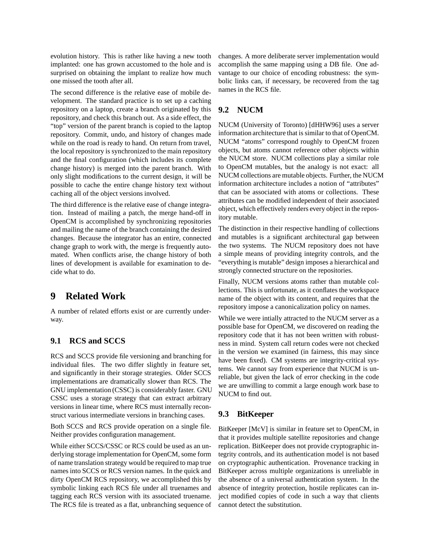evolution history. This is rather like having a new tooth implanted: one has grown accustomed to the hole and is surprised on obtaining the implant to realize how much one missed the tooth after all.

The second difference is the relative ease of mobile development. The standard practice is to set up a caching repository on a laptop, create a branch originated by this repository, and check this branch out. As a side effect, the "top" version of the parent branch is copied to the laptop repository. Commit, undo, and history of changes made while on the road is ready to hand. On return from travel, the local repository is synchronized to the main repository and the final configuration (which includes its complete change history) is merged into the parent branch. With only slight modifications to the current design, it will be possible to cache the entire change history text without caching all of the object versions involved.

The third difference is the relative ease of change integration. Instead of mailing a patch, the merge hand-off in OpenCM is accomplished by synchronizing repositories and mailing the name of the branch containing the desired changes. Because the integrator has an entire, connected change graph to work with, the merge is frequently automated. When conflicts arise, the change history of both lines of development is available for examination to decide what to do.

## **9 Related Work**

A number of related efforts exist or are currently underway.

#### **9.1 RCS and SCCS**

RCS and SCCS provide file versioning and branching for individual files. The two differ slightly in feature set, and significantly in their storage strategies. Older SCCS implementations are dramatically slower than RCS. The GNU implementation (CSSC) is considerably faster. GNU CSSC uses a storage strategy that can extract arbitrary versions in linear time, where RCS must internally reconstruct various intermediate versions in branching cases.

Both SCCS and RCS provide operation on a single file. Neither provides configuration management.

While either SCCS/CSSC or RCS could be used as an underlying storage implementation for OpenCM, some form of name translation strategy would be required to map true names into SCCS or RCS version names. In the quick and dirty OpenCM RCS repository, we accomplished this by symbolic linking each RCS file under all truenames and tagging each RCS version with its associated truename. The RCS file is treated as a flat, unbranching sequence of changes. A more deliberate server implementation would accomplish the same mapping using a DB file. One advantage to our choice of encoding robustness: the symbolic links can, if necessary, be recovered from the tag names in the RCS file.

#### **9.2 NUCM**

NUCM (University of Toronto) [dHHW96] uses a server information architecture that is similar to that of OpenCM. NUCM "atoms" correspond roughly to OpenCM frozen objects, but atoms cannot reference other objects within the NUCM store. NUCM collections play a similar role to OpenCM mutables, but the analogy is not exact: all NUCM collections are mutable objects. Further, the NUCM information architecture includes a notion of "attributes" that can be associated with atoms or collections. These attributes can be modified independent of their associated object, which effectively renders every object in the repository mutable.

The distinction in their respective handling of collections and mutables is a significant architectural gap between the two systems. The NUCM repository does not have a simple means of providing integrity controls, and the "everything is mutable" design imposes a hierarchical and strongly connected structure on the repositories.

Finally, NUCM versions atoms rather than mutable collections. This is unfortunate, as it conflates the workspace name of the object with its content, and requires that the repository impose a canonicalization policy on names.

While we were intially attracted to the NUCM server as a possible base for OpenCM, we discovered on reading the repository code that it has not been written with robustness in mind. System call return codes were not checked in the version we examined (in fairness, this may since have been fixed). CM systems are integrity-critical systems. We cannot say from experience that NUCM is unreliable, but given the lack of error checking in the code we are unwilling to commit a large enough work base to NUCM to find out.

#### **9.3 BitKeeper**

BitKeeper [McV] is similar in feature set to OpenCM, in that it provides multiple satellite repositories and change replication. BitKeeper does not provide cryptographic integrity controls, and its authentication model is not based on cryptographic authentication. Provenance tracking in BitKeeper across multiple organizations is unreliable in the absence of a universal authentication system. In the absence of integrity protection, hostile replicates can inject modified copies of code in such a way that clients cannot detect the substitution.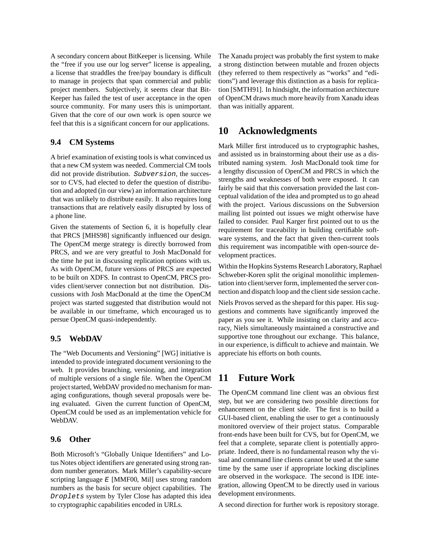A secondary concern about BitKeeper is licensing. While the "free if you use our log server" license is appealing, a license that straddles the free/pay boundary is difficult to manage in projects that span commercial and public project members. Subjectively, it seems clear that Bit-Keeper has failed the test of user acceptance in the open source community. For many users this is unimportant. Given that the core of our own work is open source we feel that this is a significant concern for our applications.

#### **9.4 CM Systems**

A brief examination of existing tools is what convinced us that a new CM system was needed. Commercial CM tools did not provide distribution. Subversion, the successor to CVS, had elected to defer the question of distribution and adopted (in our view) an information architecture that was unlikely to distribute easily. It also requires long transactions that are relatively easily disrupted by loss of a phone line.

Given the statements of Section 6, it is hopefully clear that PRCS [MHS98] significantly influenced our design. The OpenCM merge strategy is directly borrowed from PRCS, and we are very greatful to Josh MacDonald for the time he put in discussing replication options with us. As with OpenCM, future versions of PRCS are expected to be built on XDFS. In contrast to OpenCM, PRCS provides client/server connection but not distribution. Discussions with Josh MacDonald at the time the OpenCM project was started suggested that distribution would not be available in our timeframe, which encouraged us to persue OpenCM quasi-independently.

#### **9.5 WebDAV**

The "Web Documents and Versioning" [WG] initiative is intended to provide integrated document versioning to the web. It provides branching, versioning, and integration of multiple versions of a single file. When the OpenCM project started, WebDAV provided no mechanism for managing configurations, though several proposals were being evaluated. Given the current function of OpenCM, OpenCM could be used as an implementation vehicle for WebDAV.

#### **9.6 Other**

Both Microsoft's "Globally Unique Identifiers" and Lotus Notes object identifiers are generated using strong random number generators. Mark Miller's capability-secure scripting language E [MMF00, Mil] uses strong random numbers as the basis for secure object capabilities. The Droplets system by Tyler Close has adapted this idea to cryptographic capabilities encoded in URLs.

The Xanadu project was probably the first system to make a strong distinction between mutable and frozen objects (they referred to them respectively as "works" and "editions") and leverage this distinction as a basis for replication [SMTH91]. In hindsight, the information architecture of OpenCM draws much more heavily from Xanadu ideas than was initially apparent.

## **10 Acknowledgments**

Mark Miller first introduced us to cryptographic hashes, and assisted us in brainstorming about their use as a distributed naming system. Josh MacDonald took time for a lengthy discussion of OpenCM and PRCS in which the strengths and weaknesses of both were exposed. It can fairly be said that this conversation provided the last conceptual validation of the idea and prompted us to go ahead with the project. Various discussions on the Subversion mailing list pointed out issues we might otherwise have failed to consider. Paul Karger first pointed out to us the requirement for traceability in building certifiable software systems, and the fact that given then-current tools this requirement was incompatible with open-source development practices.

Within the Hopkins Systems Research Laboratory, Raphael Schweber-Koren split the original monolithic implementation into client/server form, implemented the server connection and dispatch loop and the client side session cache.

Niels Provos served as the shepard for this paper. His suggestions and comments have significantly improved the paper as you see it. While insisting on clarity and accuracy, Niels simultaneously maintained a constructive and supportive tone throughout our exchange. This balance, in our experience, is difficult to achieve and maintain. We appreciate his efforts on both counts.

## **11 Future Work**

The OpenCM command line client was an obvious first step, but we are considering two possible directions for enhancement on the client side. The first is to build a GUI-based client, enabling the user to get a continuously monitored overview of their project status. Comparable front-ends have been built for CVS, but for OpenCM, we feel that a complete, separate client is potentially appropriate. Indeed, there is no fundamental reason why the visual and command line clients cannot be used at the same time by the same user if appropriate locking disciplines are observed in the workspace. The second is IDE integration, allowing OpenCM to be directly used in various development environments.

A second direction for further work is repository storage.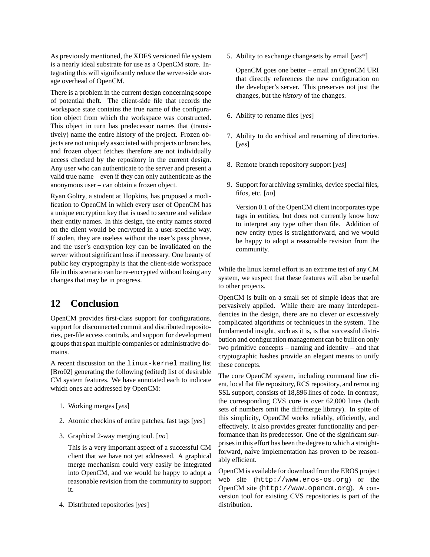As previously mentioned, the XDFS versioned file system is a nearly ideal substrate for use as a OpenCM store. Integrating this will significantly reduce the server-side storage overhead of OpenCM.

There is a problem in the current design concerning scope of potential theft. The client-side file that records the workspace state contains the true name of the configuration object from which the workspace was constructed. This object in turn has predecessor names that (transitively) name the entire history of the project. Frozen objects are not uniquely associated with projects or branches, and frozen object fetches therefore are not individually access checked by the repository in the current design. Any user who can authenticate to the server and present a valid true name – even if they can only authenticate as the anonymous user – can obtain a frozen object.

Ryan Goltry, a student at Hopkins, has proposed a modification to OpenCM in which every user of OpenCM has a unique encryption key that is used to secure and validate their entity names. In this design, the entity names stored on the client would be encrypted in a user-specific way. If stolen, they are useless without the user's pass phrase, and the user's encryption key can be invalidated on the server without significant loss if necessary. One beauty of public key cryptography is that the client-side workspace file in this scenario can be re-encrypted without losing any changes that may be in progress.

## **12 Conclusion**

OpenCM provides first-class support for configurations, support for disconnected commit and distributed repositories, per-file access controls, and support for development groups that span multiple companies or administrative domains.

A recent discussion on the linux-kernel mailing list [Bro02] generating the following (edited) list of desirable CM system features. We have annotated each to indicate which ones are addressed by OpenCM:

- 1. Working merges [*yes*]
- 2. Atomic checkins of entire patches, fast tags [*yes*]
- 3. Graphical 2-way merging tool. [*no*]

This is a very important aspect of a successful CM client that we have not yet addressed. A graphical merge mechanism could very easily be integrated into OpenCM, and we would be happy to adopt a reasonable revision from the community to support it.

4. Distributed repositories [*yes*]

5. Ability to exchange changesets by email [*yes\**]

OpenCM goes one better – email an OpenCM URI that directly references the new configuration on the developer's server. This preserves not just the changes, but the *history* of the changes.

- 6. Ability to rename files [*yes*]
- 7. Ability to do archival and renaming of directories. [*yes*]
- 8. Remote branch repository support [*yes*]
- 9. Support for archiving symlinks, device special files, fifos, etc. [*no*]

Version 0.1 of the OpenCM client incorporates type tags in entities, but does not currently know how to interpret any type other than file. Addition of new entity types is straightforward, and we would be happy to adopt a reasonable revision from the community.

While the linux kernel effort is an extreme test of any CM system, we suspect that these features will also be useful to other projects.

OpenCM is built on a small set of simple ideas that are pervasively applied. While there are many interdependencies in the design, there are no clever or excessively complicated algorithms or techniques in the system. The fundamental insight, such as it is, is that successful distribution and configuration management can be built on only two primitive concepts – naming and identity – and that cryptographic hashes provide an elegant means to unify these concepts.

The core OpenCM system, including command line client, local flat file repository, RCS repository, and remoting SSL support, consists of 18,896 lines of code. In contrast, the corresponding CVS core is over 62,000 lines (both sets of numbers omit the diff/merge library). In spite of this simplicity, OpenCM works reliably, efficiently, and effectively. It also provides greater functionality and performance than its predecessor. One of the significant surprises in this effort has been the degree to which a straightforward, naïve implementation has proven to be reasonably efficient.

OpenCM is available for download from the EROS project web site (http://www.eros-os.org) or the OpenCM site (http://www.opencm.org). A conversion tool for existing CVS repositories is part of the distribution.